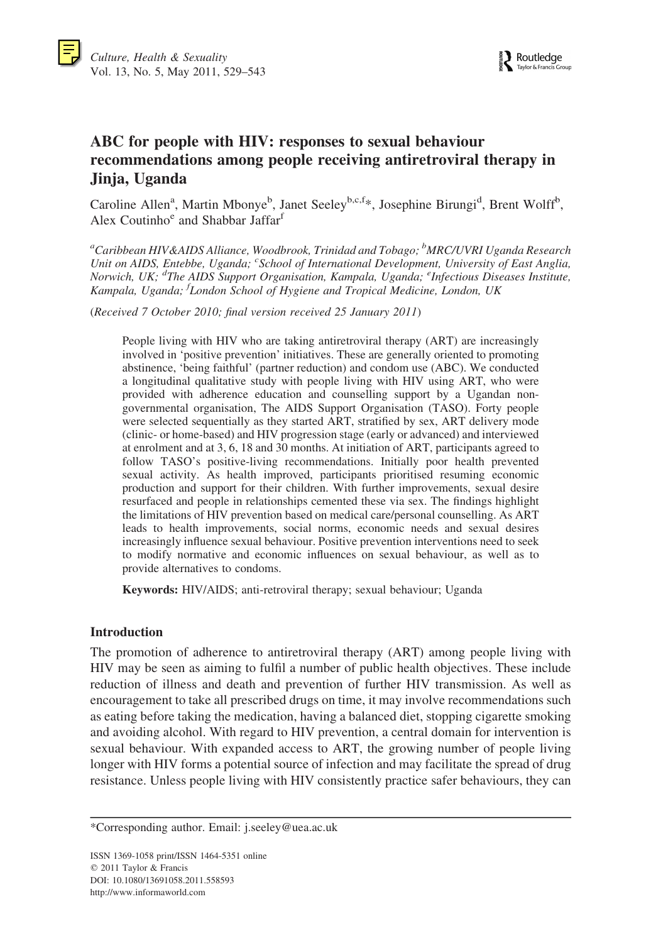

Culture, Health & Sexuality Vol. 13, No. 5, May 2011, 529–543



# ABC for people with HIV: responses to sexual behaviour recommendations among people receiving antiretroviral therapy in Jinja, Uganda

Caroline Allen<sup>a</sup>, Martin Mbonye<sup>b</sup>, Janet Seeley<sup>b,c,f\*</sup>, Josephine Birungi<sup>d</sup>, Brent Wolff<sup>b</sup>, Alex Coutinho<sup>e</sup> and Shabbar Jaffar<sup>f</sup>

<sup>a</sup>Caribbean HIV&AIDS Alliance, Woodbrook, Trinidad and Tobago; <sup>b</sup>MRC/UVRI Uganda Research Unit on AIDS, Entebbe, Uganda; "School of International Development, University of East Anglia, Norwich, UK; <sup>d</sup> The AIDS Support Organisation, Kampala, Uganda; <sup>e</sup> Infectious Diseases Institute, Kampala, Uganda; <sup>f</sup> London School of Hygiene and Tropical Medicine, London, UK

(Received 7 October 2010; final version received 25 January 2011)

People living with HIV who are taking antiretroviral therapy (ART) are increasingly involved in 'positive prevention' initiatives. These are generally oriented to promoting abstinence, 'being faithful' (partner reduction) and condom use (ABC). We conducted a longitudinal qualitative study with people living with HIV using ART, who were provided with adherence education and counselling support by a Ugandan nongovernmental organisation, The AIDS Support Organisation (TASO). Forty people were selected sequentially as they started ART, stratified by sex, ART delivery mode (clinic- or home-based) and HIV progression stage (early or advanced) and interviewed at enrolment and at 3, 6, 18 and 30 months. At initiation of ART, participants agreed to follow TASO's positive-living recommendations. Initially poor health prevented sexual activity. As health improved, participants prioritised resuming economic production and support for their children. With further improvements, sexual desire resurfaced and people in relationships cemented these via sex. The findings highlight the limitations of HIV prevention based on medical care/personal counselling. As ART leads to health improvements, social norms, economic needs and sexual desires increasingly influence sexual behaviour. Positive prevention interventions need to seek to modify normative and economic influences on sexual behaviour, as well as to provide alternatives to condoms.

Keywords: HIV/AIDS; anti-retroviral therapy; sexual behaviour; Uganda

# Introduction

The promotion of adherence to antiretroviral therapy (ART) among people living with HIV may be seen as aiming to fulfil a number of public health objectives. These include reduction of illness and death and prevention of further HIV transmission. As well as encouragement to take all prescribed drugs on time, it may involve recommendations such as eating before taking the medication, having a balanced diet, stopping cigarette smoking and avoiding alcohol. With regard to HIV prevention, a central domain for intervention is sexual behaviour. With expanded access to ART, the growing number of people living longer with HIV forms a potential source of infection and may facilitate the spread of drug resistance. Unless people living with HIV consistently practice safer behaviours, they can

<sup>\*</sup>Corresponding author. Email: j.seeley@uea.ac.uk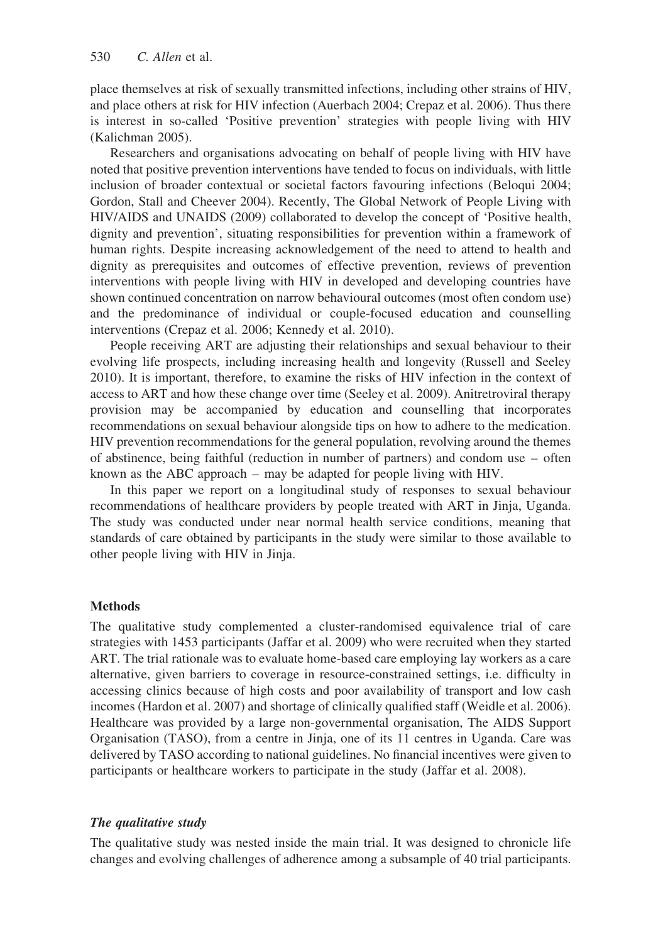place themselves at risk of sexually transmitted infections, including other strains of HIV, and place others at risk for HIV infection (Auerbach 2004; Crepaz et al. 2006). Thus there is interest in so-called 'Positive prevention' strategies with people living with HIV (Kalichman 2005).

Researchers and organisations advocating on behalf of people living with HIV have noted that positive prevention interventions have tended to focus on individuals, with little inclusion of broader contextual or societal factors favouring infections (Beloqui 2004; Gordon, Stall and Cheever 2004). Recently, The Global Network of People Living with HIV/AIDS and UNAIDS (2009) collaborated to develop the concept of 'Positive health, dignity and prevention', situating responsibilities for prevention within a framework of human rights. Despite increasing acknowledgement of the need to attend to health and dignity as prerequisites and outcomes of effective prevention, reviews of prevention interventions with people living with HIV in developed and developing countries have shown continued concentration on narrow behavioural outcomes (most often condom use) and the predominance of individual or couple-focused education and counselling interventions (Crepaz et al. 2006; Kennedy et al. 2010).

People receiving ART are adjusting their relationships and sexual behaviour to their evolving life prospects, including increasing health and longevity (Russell and Seeley 2010). It is important, therefore, to examine the risks of HIV infection in the context of access to ART and how these change over time (Seeley et al. 2009). Anitretroviral therapy provision may be accompanied by education and counselling that incorporates recommendations on sexual behaviour alongside tips on how to adhere to the medication. HIV prevention recommendations for the general population, revolving around the themes of abstinence, being faithful (reduction in number of partners) and condom use – often known as the ABC approach – may be adapted for people living with HIV.

In this paper we report on a longitudinal study of responses to sexual behaviour recommendations of healthcare providers by people treated with ART in Jinja, Uganda. The study was conducted under near normal health service conditions, meaning that standards of care obtained by participants in the study were similar to those available to other people living with HIV in Jinja.

## Methods

The qualitative study complemented a cluster-randomised equivalence trial of care strategies with 1453 participants (Jaffar et al. 2009) who were recruited when they started ART. The trial rationale was to evaluate home-based care employing lay workers as a care alternative, given barriers to coverage in resource-constrained settings, i.e. difficulty in accessing clinics because of high costs and poor availability of transport and low cash incomes (Hardon et al. 2007) and shortage of clinically qualified staff (Weidle et al. 2006). Healthcare was provided by a large non-governmental organisation, The AIDS Support Organisation (TASO), from a centre in Jinja, one of its 11 centres in Uganda. Care was delivered by TASO according to national guidelines. No financial incentives were given to participants or healthcare workers to participate in the study (Jaffar et al. 2008).

## The qualitative study

The qualitative study was nested inside the main trial. It was designed to chronicle life changes and evolving challenges of adherence among a subsample of 40 trial participants.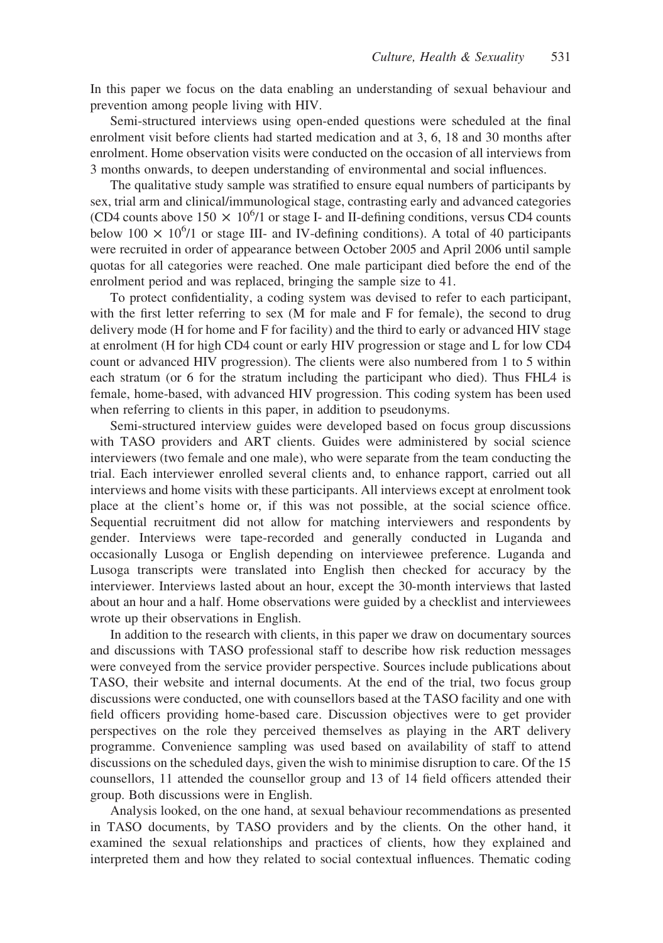In this paper we focus on the data enabling an understanding of sexual behaviour and prevention among people living with HIV.

Semi-structured interviews using open-ended questions were scheduled at the final enrolment visit before clients had started medication and at 3, 6, 18 and 30 months after enrolment. Home observation visits were conducted on the occasion of all interviews from 3 months onwards, to deepen understanding of environmental and social influences.

The qualitative study sample was stratified to ensure equal numbers of participants by sex, trial arm and clinical/immunological stage, contrasting early and advanced categories (CD4 counts above  $150 \times 10^6/1$  or stage I- and II-defining conditions, versus CD4 counts below  $100 \times 10^6/1$  or stage III- and IV-defining conditions). A total of 40 participants were recruited in order of appearance between October 2005 and April 2006 until sample quotas for all categories were reached. One male participant died before the end of the enrolment period and was replaced, bringing the sample size to 41.

To protect confidentiality, a coding system was devised to refer to each participant, with the first letter referring to sex (M for male and F for female), the second to drug delivery mode (H for home and F for facility) and the third to early or advanced HIV stage at enrolment (H for high CD4 count or early HIV progression or stage and L for low CD4 count or advanced HIV progression). The clients were also numbered from 1 to 5 within each stratum (or 6 for the stratum including the participant who died). Thus FHL4 is female, home-based, with advanced HIV progression. This coding system has been used when referring to clients in this paper, in addition to pseudonyms.

Semi-structured interview guides were developed based on focus group discussions with TASO providers and ART clients. Guides were administered by social science interviewers (two female and one male), who were separate from the team conducting the trial. Each interviewer enrolled several clients and, to enhance rapport, carried out all interviews and home visits with these participants. All interviews except at enrolment took place at the client's home or, if this was not possible, at the social science office. Sequential recruitment did not allow for matching interviewers and respondents by gender. Interviews were tape-recorded and generally conducted in Luganda and occasionally Lusoga or English depending on interviewee preference. Luganda and Lusoga transcripts were translated into English then checked for accuracy by the interviewer. Interviews lasted about an hour, except the 30-month interviews that lasted about an hour and a half. Home observations were guided by a checklist and interviewees wrote up their observations in English.

In addition to the research with clients, in this paper we draw on documentary sources and discussions with TASO professional staff to describe how risk reduction messages were conveyed from the service provider perspective. Sources include publications about TASO, their website and internal documents. At the end of the trial, two focus group discussions were conducted, one with counsellors based at the TASO facility and one with field officers providing home-based care. Discussion objectives were to get provider perspectives on the role they perceived themselves as playing in the ART delivery programme. Convenience sampling was used based on availability of staff to attend discussions on the scheduled days, given the wish to minimise disruption to care. Of the 15 counsellors, 11 attended the counsellor group and 13 of 14 field officers attended their group. Both discussions were in English.

Analysis looked, on the one hand, at sexual behaviour recommendations as presented in TASO documents, by TASO providers and by the clients. On the other hand, it examined the sexual relationships and practices of clients, how they explained and interpreted them and how they related to social contextual influences. Thematic coding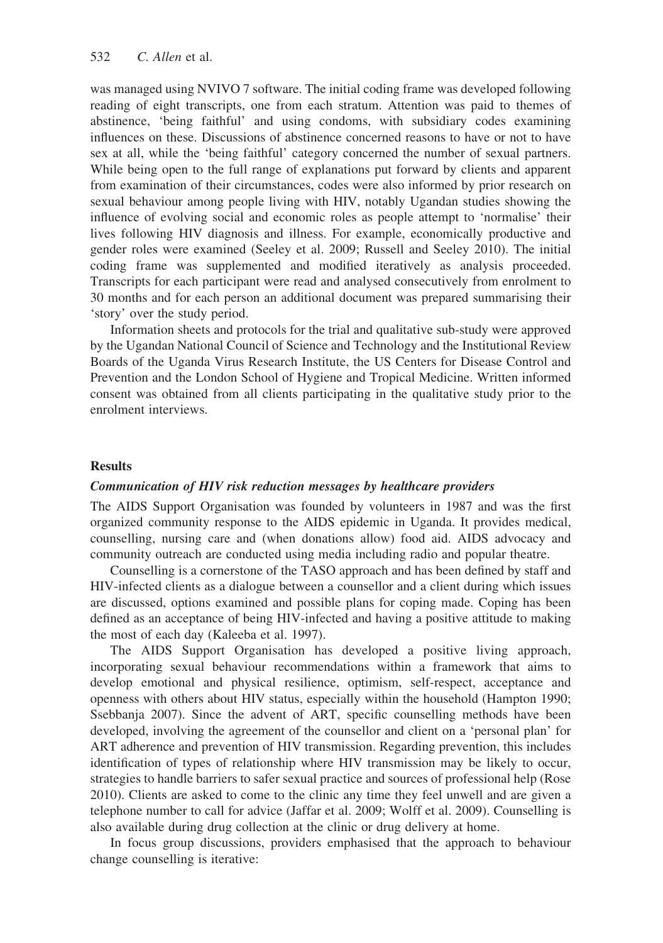was managed using NVIVO 7 software. The initial coding frame was developed following reading of eight transcripts, one from each stratum. Attention was paid to themes of abstinence, 'being faithful' and using condoms, with subsidiary codes examining influences on these. Discussions of abstinence concerned reasons to have or not to have sex at all, while the 'being faithful' category concerned the number of sexual partners. While being open to the full range of explanations put forward by clients and apparent from examination of their circumstances, codes were also informed by prior research on sexual behaviour among people living with HIV, notably Ugandan studies showing the influence of evolving social and economic roles as people attempt to 'normalise' their lives following HIV diagnosis and illness. For example, economically productive and gender roles were examined (Seeley et al. 2009; Russell and Seeley 2010). The initial coding frame was supplemented and modified iteratively as analysis proceeded. Transcripts for each participant were read and analysed consecutively from enrolment to 30 months and for each person an additional document was prepared summarising their 'story' over the study period.

Information sheets and protocols for the trial and qualitative sub-study were approved by the Ugandan National Council of Science and Technology and the Institutional Review Boards of the Uganda Virus Research Institute, the US Centers for Disease Control and Prevention and the London School of Hygiene and Tropical Medicine. Written informed consent was obtained from all clients participating in the qualitative study prior to the enrolment interviews.

## **Results**

#### Communication of HIV risk reduction messages by healthcare providers

The AIDS Support Organisation was founded by volunteers in 1987 and was the first organized community response to the AIDS epidemic in Uganda. It provides medical, counselling, nursing care and (when donations allow) food aid. AIDS advocacy and community outreach are conducted using media including radio and popular theatre.

Counselling is a cornerstone of the TASO approach and has been defined by staff and HIV-infected clients as a dialogue between a counsellor and a client during which issues are discussed, options examined and possible plans for coping made. Coping has been defined as an acceptance of being HIV-infected and having a positive attitude to making the most of each day (Kaleeba et al. 1997).

The AIDS Support Organisation has developed a positive living approach, incorporating sexual behaviour recommendations within a framework that aims to develop emotional and physical resilience, optimism, self-respect, acceptance and openness with others about HIV status, especially within the household (Hampton 1990; Ssebbanja 2007). Since the advent of ART, specific counselling methods have been developed, involving the agreement of the counsellor and client on a 'personal plan' for ART adherence and prevention of HIV transmission. Regarding prevention, this includes identification of types of relationship where HIV transmission may be likely to occur, strategies to handle barriers to safer sexual practice and sources of professional help (Rose 2010). Clients are asked to come to the clinic any time they feel unwell and are given a telephone number to call for advice (Jaffar et al. 2009; Wolff et al. 2009). Counselling is also available during drug collection at the clinic or drug delivery at home.

In focus group discussions, providers emphasised that the approach to behaviour change counselling is iterative: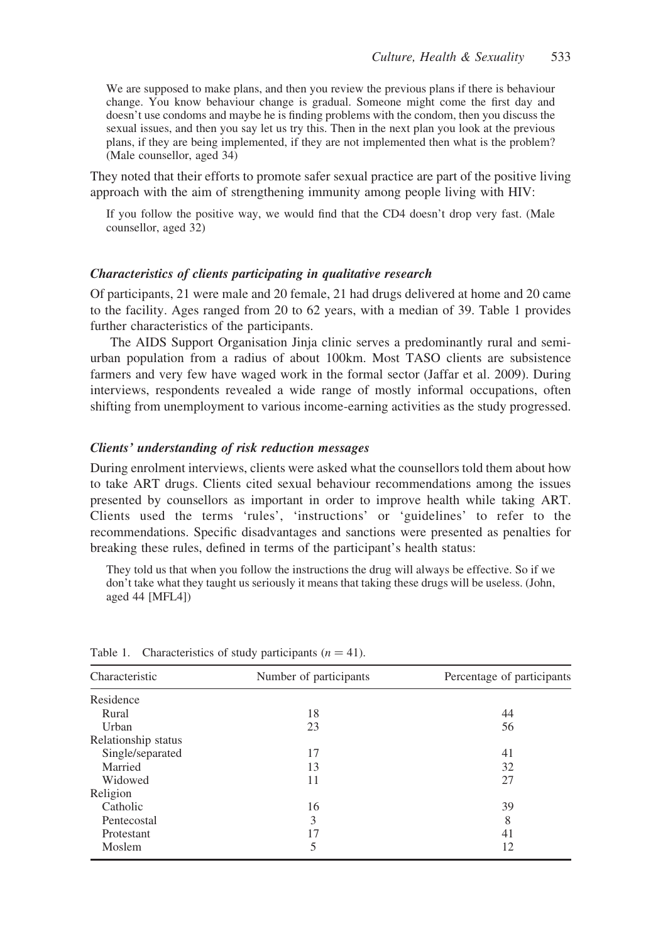We are supposed to make plans, and then you review the previous plans if there is behaviour change. You know behaviour change is gradual. Someone might come the first day and doesn't use condoms and maybe he is finding problems with the condom, then you discuss the sexual issues, and then you say let us try this. Then in the next plan you look at the previous plans, if they are being implemented, if they are not implemented then what is the problem? (Male counsellor, aged 34)

They noted that their efforts to promote safer sexual practice are part of the positive living approach with the aim of strengthening immunity among people living with HIV:

If you follow the positive way, we would find that the CD4 doesn't drop very fast. (Male counsellor, aged 32)

#### Characteristics of clients participating in qualitative research

Of participants, 21 were male and 20 female, 21 had drugs delivered at home and 20 came to the facility. Ages ranged from 20 to 62 years, with a median of 39. Table 1 provides further characteristics of the participants.

The AIDS Support Organisation Jinja clinic serves a predominantly rural and semiurban population from a radius of about 100km. Most TASO clients are subsistence farmers and very few have waged work in the formal sector (Jaffar et al. 2009). During interviews, respondents revealed a wide range of mostly informal occupations, often shifting from unemployment to various income-earning activities as the study progressed.

# Clients' understanding of risk reduction messages

During enrolment interviews, clients were asked what the counsellors told them about how to take ART drugs. Clients cited sexual behaviour recommendations among the issues presented by counsellors as important in order to improve health while taking ART. Clients used the terms 'rules', 'instructions' or 'guidelines' to refer to the recommendations. Specific disadvantages and sanctions were presented as penalties for breaking these rules, defined in terms of the participant's health status:

They told us that when you follow the instructions the drug will always be effective. So if we don't take what they taught us seriously it means that taking these drugs will be useless. (John, aged 44 [MFL4])

| Characteristic      | Number of participants | Percentage of participants |
|---------------------|------------------------|----------------------------|
| Residence           |                        |                            |
| Rural               | 18                     | 44                         |
| Urban               | 23                     | 56                         |
| Relationship status |                        |                            |
| Single/separated    | 17                     | 41                         |
| Married             | 13                     | 32                         |
| Widowed             | 11                     | 27                         |
| Religion            |                        |                            |
| Catholic            | 16                     | 39                         |
| Pentecostal         | 3                      | 8                          |
| Protestant          | 17                     | 41                         |
| Moslem              | 5                      | 12                         |

Table 1. Characteristics of study participants  $(n = 41)$ .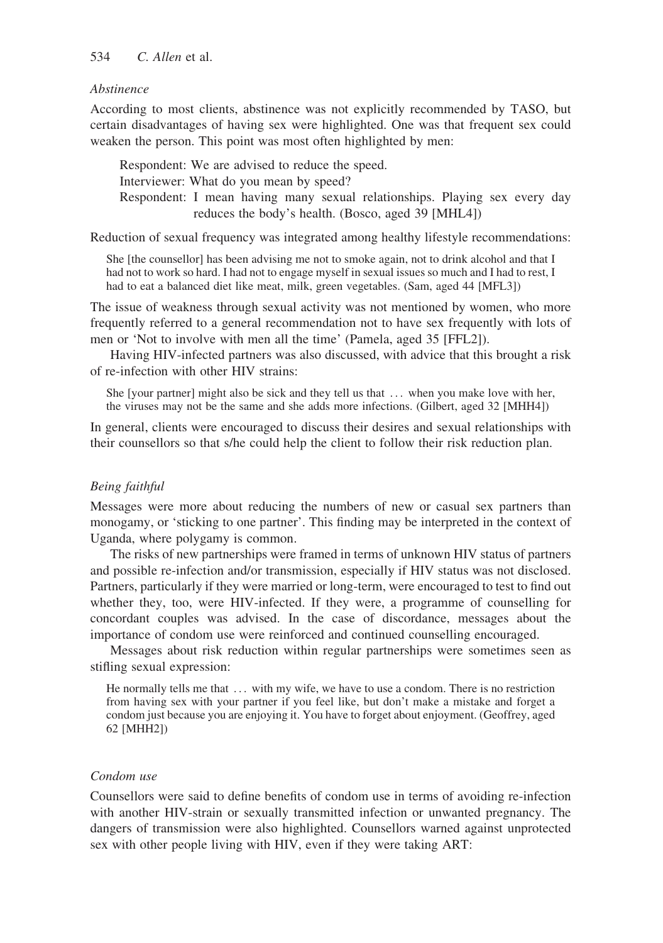## Abstinence

According to most clients, abstinence was not explicitly recommended by TASO, but certain disadvantages of having sex were highlighted. One was that frequent sex could weaken the person. This point was most often highlighted by men:

Respondent: We are advised to reduce the speed. Interviewer: What do you mean by speed? Respondent: I mean having many sexual relationships. Playing sex every day reduces the body's health. (Bosco, aged 39 [MHL4])

Reduction of sexual frequency was integrated among healthy lifestyle recommendations:

She [the counsellor] has been advising me not to smoke again, not to drink alcohol and that I had not to work so hard. I had not to engage myself in sexual issues so much and I had to rest, I had to eat a balanced diet like meat, milk, green vegetables. (Sam, aged 44 [MFL3])

The issue of weakness through sexual activity was not mentioned by women, who more frequently referred to a general recommendation not to have sex frequently with lots of men or 'Not to involve with men all the time' (Pamela, aged 35 [FFL2]).

Having HIV-infected partners was also discussed, with advice that this brought a risk of re-infection with other HIV strains:

She [your partner] might also be sick and they tell us that ... when you make love with her, the viruses may not be the same and she adds more infections. (Gilbert, aged 32 [MHH4])

In general, clients were encouraged to discuss their desires and sexual relationships with their counsellors so that s/he could help the client to follow their risk reduction plan.

# Being faithful

Messages were more about reducing the numbers of new or casual sex partners than monogamy, or 'sticking to one partner'. This finding may be interpreted in the context of Uganda, where polygamy is common.

The risks of new partnerships were framed in terms of unknown HIV status of partners and possible re-infection and/or transmission, especially if HIV status was not disclosed. Partners, particularly if they were married or long-term, were encouraged to test to find out whether they, too, were HIV-infected. If they were, a programme of counselling for concordant couples was advised. In the case of discordance, messages about the importance of condom use were reinforced and continued counselling encouraged.

Messages about risk reduction within regular partnerships were sometimes seen as stifling sexual expression:

He normally tells me that ... with my wife, we have to use a condom. There is no restriction from having sex with your partner if you feel like, but don't make a mistake and forget a condom just because you are enjoying it. You have to forget about enjoyment. (Geoffrey, aged 62 [MHH2])

# Condom use

Counsellors were said to define benefits of condom use in terms of avoiding re-infection with another HIV-strain or sexually transmitted infection or unwanted pregnancy. The dangers of transmission were also highlighted. Counsellors warned against unprotected sex with other people living with HIV, even if they were taking ART: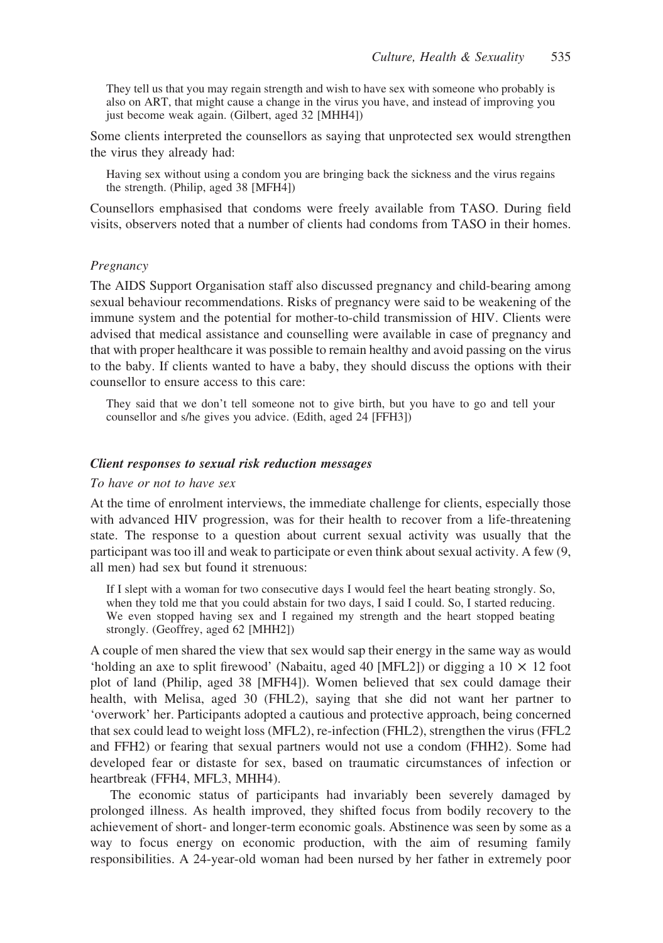They tell us that you may regain strength and wish to have sex with someone who probably is also on ART, that might cause a change in the virus you have, and instead of improving you just become weak again. (Gilbert, aged 32 [MHH4])

Some clients interpreted the counsellors as saying that unprotected sex would strengthen the virus they already had:

Having sex without using a condom you are bringing back the sickness and the virus regains the strength. (Philip, aged 38 [MFH4])

Counsellors emphasised that condoms were freely available from TASO. During field visits, observers noted that a number of clients had condoms from TASO in their homes.

#### Pregnancy

The AIDS Support Organisation staff also discussed pregnancy and child-bearing among sexual behaviour recommendations. Risks of pregnancy were said to be weakening of the immune system and the potential for mother-to-child transmission of HIV. Clients were advised that medical assistance and counselling were available in case of pregnancy and that with proper healthcare it was possible to remain healthy and avoid passing on the virus to the baby. If clients wanted to have a baby, they should discuss the options with their counsellor to ensure access to this care:

They said that we don't tell someone not to give birth, but you have to go and tell your counsellor and s/he gives you advice. (Edith, aged 24 [FFH3])

# Client responses to sexual risk reduction messages

#### To have or not to have sex

At the time of enrolment interviews, the immediate challenge for clients, especially those with advanced HIV progression, was for their health to recover from a life-threatening state. The response to a question about current sexual activity was usually that the participant was too ill and weak to participate or even think about sexual activity. A few (9, all men) had sex but found it strenuous:

If I slept with a woman for two consecutive days I would feel the heart beating strongly. So, when they told me that you could abstain for two days, I said I could. So, I started reducing. We even stopped having sex and I regained my strength and the heart stopped beating strongly. (Geoffrey, aged 62 [MHH2])

A couple of men shared the view that sex would sap their energy in the same way as would 'holding an axe to split firewood' (Nabaitu, aged 40 [MFL2]) or digging a  $10 \times 12$  foot plot of land (Philip, aged 38 [MFH4]). Women believed that sex could damage their health, with Melisa, aged 30 (FHL2), saying that she did not want her partner to 'overwork' her. Participants adopted a cautious and protective approach, being concerned that sex could lead to weight loss (MFL2), re-infection (FHL2), strengthen the virus (FFL2 and FFH2) or fearing that sexual partners would not use a condom (FHH2). Some had developed fear or distaste for sex, based on traumatic circumstances of infection or heartbreak (FFH4, MFL3, MHH4).

The economic status of participants had invariably been severely damaged by prolonged illness. As health improved, they shifted focus from bodily recovery to the achievement of short- and longer-term economic goals. Abstinence was seen by some as a way to focus energy on economic production, with the aim of resuming family responsibilities. A 24-year-old woman had been nursed by her father in extremely poor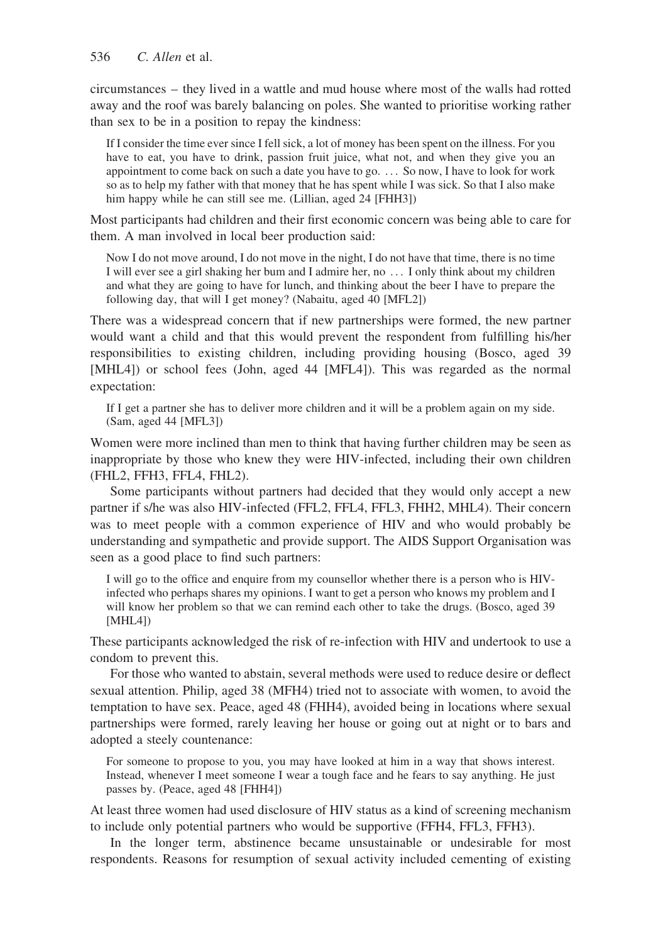circumstances – they lived in a wattle and mud house where most of the walls had rotted away and the roof was barely balancing on poles. She wanted to prioritise working rather than sex to be in a position to repay the kindness:

If I consider the time ever since I fell sick, a lot of money has been spent on the illness. For you have to eat, you have to drink, passion fruit juice, what not, and when they give you an appointment to come back on such a date you have to go. ... So now, I have to look for work so as to help my father with that money that he has spent while I was sick. So that I also make him happy while he can still see me. (Lillian, aged 24 [FHH3])

Most participants had children and their first economic concern was being able to care for them. A man involved in local beer production said:

Now I do not move around, I do not move in the night, I do not have that time, there is no time I will ever see a girl shaking her bum and I admire her, no ... I only think about my children and what they are going to have for lunch, and thinking about the beer I have to prepare the following day, that will I get money? (Nabaitu, aged 40 [MFL2])

There was a widespread concern that if new partnerships were formed, the new partner would want a child and that this would prevent the respondent from fulfilling his/her responsibilities to existing children, including providing housing (Bosco, aged 39 [MHL4]) or school fees (John, aged 44 [MFL4]). This was regarded as the normal expectation:

If I get a partner she has to deliver more children and it will be a problem again on my side. (Sam, aged 44 [MFL3])

Women were more inclined than men to think that having further children may be seen as inappropriate by those who knew they were HIV-infected, including their own children (FHL2, FFH3, FFL4, FHL2).

Some participants without partners had decided that they would only accept a new partner if s/he was also HIV-infected (FFL2, FFL4, FFL3, FHH2, MHL4). Their concern was to meet people with a common experience of HIV and who would probably be understanding and sympathetic and provide support. The AIDS Support Organisation was seen as a good place to find such partners:

I will go to the office and enquire from my counsellor whether there is a person who is HIVinfected who perhaps shares my opinions. I want to get a person who knows my problem and I will know her problem so that we can remind each other to take the drugs. (Bosco, aged 39 [MHL4])

These participants acknowledged the risk of re-infection with HIV and undertook to use a condom to prevent this.

For those who wanted to abstain, several methods were used to reduce desire or deflect sexual attention. Philip, aged 38 (MFH4) tried not to associate with women, to avoid the temptation to have sex. Peace, aged 48 (FHH4), avoided being in locations where sexual partnerships were formed, rarely leaving her house or going out at night or to bars and adopted a steely countenance:

For someone to propose to you, you may have looked at him in a way that shows interest. Instead, whenever I meet someone I wear a tough face and he fears to say anything. He just passes by. (Peace, aged 48 [FHH4])

At least three women had used disclosure of HIV status as a kind of screening mechanism to include only potential partners who would be supportive (FFH4, FFL3, FFH3).

In the longer term, abstinence became unsustainable or undesirable for most respondents. Reasons for resumption of sexual activity included cementing of existing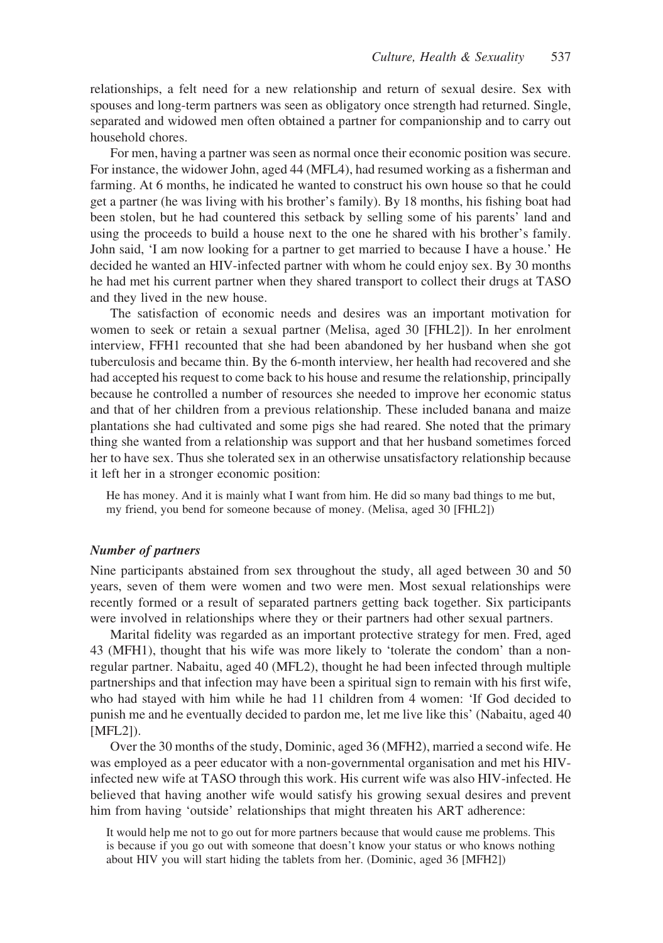relationships, a felt need for a new relationship and return of sexual desire. Sex with spouses and long-term partners was seen as obligatory once strength had returned. Single, separated and widowed men often obtained a partner for companionship and to carry out household chores.

For men, having a partner was seen as normal once their economic position was secure. For instance, the widower John, aged 44 (MFL4), had resumed working as a fisherman and farming. At 6 months, he indicated he wanted to construct his own house so that he could get a partner (he was living with his brother's family). By 18 months, his fishing boat had been stolen, but he had countered this setback by selling some of his parents' land and using the proceeds to build a house next to the one he shared with his brother's family. John said, 'I am now looking for a partner to get married to because I have a house.' He decided he wanted an HIV-infected partner with whom he could enjoy sex. By 30 months he had met his current partner when they shared transport to collect their drugs at TASO and they lived in the new house.

The satisfaction of economic needs and desires was an important motivation for women to seek or retain a sexual partner (Melisa, aged 30 [FHL2]). In her enrolment interview, FFH1 recounted that she had been abandoned by her husband when she got tuberculosis and became thin. By the 6-month interview, her health had recovered and she had accepted his request to come back to his house and resume the relationship, principally because he controlled a number of resources she needed to improve her economic status and that of her children from a previous relationship. These included banana and maize plantations she had cultivated and some pigs she had reared. She noted that the primary thing she wanted from a relationship was support and that her husband sometimes forced her to have sex. Thus she tolerated sex in an otherwise unsatisfactory relationship because it left her in a stronger economic position:

He has money. And it is mainly what I want from him. He did so many bad things to me but, my friend, you bend for someone because of money. (Melisa, aged 30 [FHL2])

#### Number of partners

Nine participants abstained from sex throughout the study, all aged between 30 and 50 years, seven of them were women and two were men. Most sexual relationships were recently formed or a result of separated partners getting back together. Six participants were involved in relationships where they or their partners had other sexual partners.

Marital fidelity was regarded as an important protective strategy for men. Fred, aged 43 (MFH1), thought that his wife was more likely to 'tolerate the condom' than a nonregular partner. Nabaitu, aged 40 (MFL2), thought he had been infected through multiple partnerships and that infection may have been a spiritual sign to remain with his first wife, who had stayed with him while he had 11 children from 4 women: 'If God decided to punish me and he eventually decided to pardon me, let me live like this' (Nabaitu, aged 40 [MFL2]).

Over the 30 months of the study, Dominic, aged 36 (MFH2), married a second wife. He was employed as a peer educator with a non-governmental organisation and met his HIVinfected new wife at TASO through this work. His current wife was also HIV-infected. He believed that having another wife would satisfy his growing sexual desires and prevent him from having 'outside' relationships that might threaten his ART adherence:

It would help me not to go out for more partners because that would cause me problems. This is because if you go out with someone that doesn't know your status or who knows nothing about HIV you will start hiding the tablets from her. (Dominic, aged 36 [MFH2])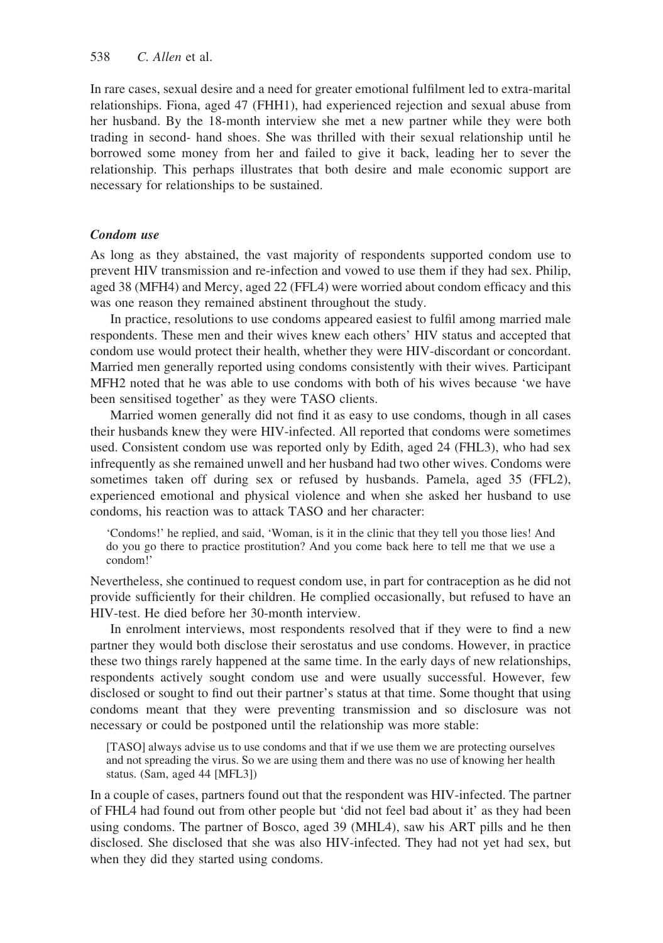In rare cases, sexual desire and a need for greater emotional fulfilment led to extra-marital relationships. Fiona, aged 47 (FHH1), had experienced rejection and sexual abuse from her husband. By the 18-month interview she met a new partner while they were both trading in second- hand shoes. She was thrilled with their sexual relationship until he borrowed some money from her and failed to give it back, leading her to sever the relationship. This perhaps illustrates that both desire and male economic support are necessary for relationships to be sustained.

#### Condom use

As long as they abstained, the vast majority of respondents supported condom use to prevent HIV transmission and re-infection and vowed to use them if they had sex. Philip, aged 38 (MFH4) and Mercy, aged 22 (FFL4) were worried about condom efficacy and this was one reason they remained abstinent throughout the study.

In practice, resolutions to use condoms appeared easiest to fulfil among married male respondents. These men and their wives knew each others' HIV status and accepted that condom use would protect their health, whether they were HIV-discordant or concordant. Married men generally reported using condoms consistently with their wives. Participant MFH2 noted that he was able to use condoms with both of his wives because 'we have been sensitised together' as they were TASO clients.

Married women generally did not find it as easy to use condoms, though in all cases their husbands knew they were HIV-infected. All reported that condoms were sometimes used. Consistent condom use was reported only by Edith, aged 24 (FHL3), who had sex infrequently as she remained unwell and her husband had two other wives. Condoms were sometimes taken off during sex or refused by husbands. Pamela, aged 35 (FFL2), experienced emotional and physical violence and when she asked her husband to use condoms, his reaction was to attack TASO and her character:

'Condoms!' he replied, and said, 'Woman, is it in the clinic that they tell you those lies! And do you go there to practice prostitution? And you come back here to tell me that we use a condom!'

Nevertheless, she continued to request condom use, in part for contraception as he did not provide sufficiently for their children. He complied occasionally, but refused to have an HIV-test. He died before her 30-month interview.

In enrolment interviews, most respondents resolved that if they were to find a new partner they would both disclose their serostatus and use condoms. However, in practice these two things rarely happened at the same time. In the early days of new relationships, respondents actively sought condom use and were usually successful. However, few disclosed or sought to find out their partner's status at that time. Some thought that using condoms meant that they were preventing transmission and so disclosure was not necessary or could be postponed until the relationship was more stable:

[TASO] always advise us to use condoms and that if we use them we are protecting ourselves and not spreading the virus. So we are using them and there was no use of knowing her health status. (Sam, aged 44 [MFL3])

In a couple of cases, partners found out that the respondent was HIV-infected. The partner of FHL4 had found out from other people but 'did not feel bad about it' as they had been using condoms. The partner of Bosco, aged 39 (MHL4), saw his ART pills and he then disclosed. She disclosed that she was also HIV-infected. They had not yet had sex, but when they did they started using condoms.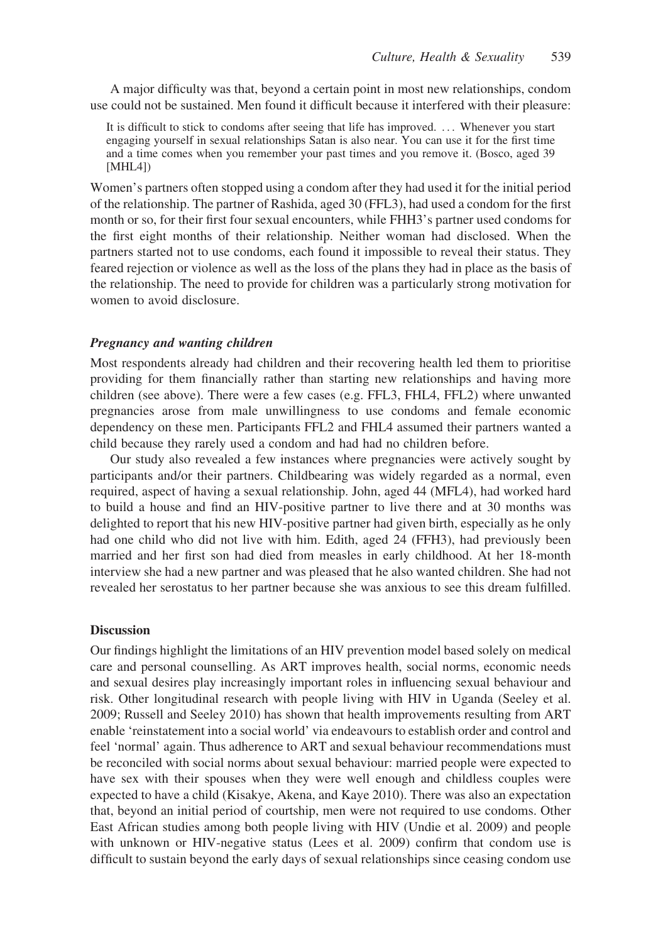A major difficulty was that, beyond a certain point in most new relationships, condom use could not be sustained. Men found it difficult because it interfered with their pleasure:

It is difficult to stick to condoms after seeing that life has improved. ... Whenever you start engaging yourself in sexual relationships Satan is also near. You can use it for the first time and a time comes when you remember your past times and you remove it. (Bosco, aged 39 [MHL4])

Women's partners often stopped using a condom after they had used it for the initial period of the relationship. The partner of Rashida, aged 30 (FFL3), had used a condom for the first month or so, for their first four sexual encounters, while FHH3's partner used condoms for the first eight months of their relationship. Neither woman had disclosed. When the partners started not to use condoms, each found it impossible to reveal their status. They feared rejection or violence as well as the loss of the plans they had in place as the basis of the relationship. The need to provide for children was a particularly strong motivation for women to avoid disclosure.

## Pregnancy and wanting children

Most respondents already had children and their recovering health led them to prioritise providing for them financially rather than starting new relationships and having more children (see above). There were a few cases (e.g. FFL3, FHL4, FFL2) where unwanted pregnancies arose from male unwillingness to use condoms and female economic dependency on these men. Participants FFL2 and FHL4 assumed their partners wanted a child because they rarely used a condom and had had no children before.

Our study also revealed a few instances where pregnancies were actively sought by participants and/or their partners. Childbearing was widely regarded as a normal, even required, aspect of having a sexual relationship. John, aged 44 (MFL4), had worked hard to build a house and find an HIV-positive partner to live there and at 30 months was delighted to report that his new HIV-positive partner had given birth, especially as he only had one child who did not live with him. Edith, aged 24 (FFH3), had previously been married and her first son had died from measles in early childhood. At her 18-month interview she had a new partner and was pleased that he also wanted children. She had not revealed her serostatus to her partner because she was anxious to see this dream fulfilled.

### **Discussion**

Our findings highlight the limitations of an HIV prevention model based solely on medical care and personal counselling. As ART improves health, social norms, economic needs and sexual desires play increasingly important roles in influencing sexual behaviour and risk. Other longitudinal research with people living with HIV in Uganda (Seeley et al. 2009; Russell and Seeley 2010) has shown that health improvements resulting from ART enable 'reinstatement into a social world' via endeavours to establish order and control and feel 'normal' again. Thus adherence to ART and sexual behaviour recommendations must be reconciled with social norms about sexual behaviour: married people were expected to have sex with their spouses when they were well enough and childless couples were expected to have a child (Kisakye, Akena, and Kaye 2010). There was also an expectation that, beyond an initial period of courtship, men were not required to use condoms. Other East African studies among both people living with HIV (Undie et al. 2009) and people with unknown or HIV-negative status (Lees et al. 2009) confirm that condom use is difficult to sustain beyond the early days of sexual relationships since ceasing condom use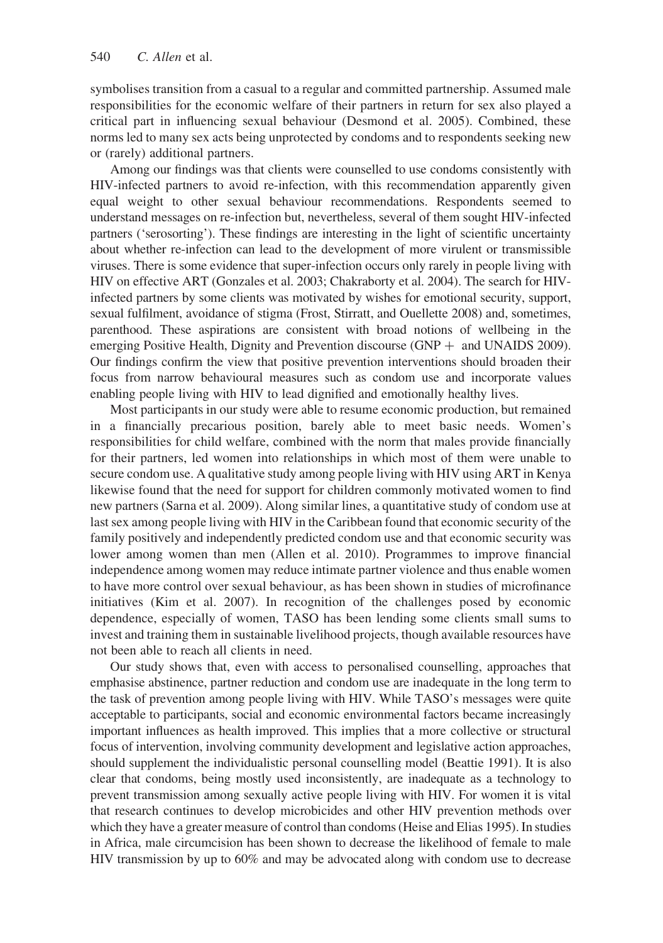symbolises transition from a casual to a regular and committed partnership. Assumed male responsibilities for the economic welfare of their partners in return for sex also played a critical part in influencing sexual behaviour (Desmond et al. 2005). Combined, these norms led to many sex acts being unprotected by condoms and to respondents seeking new or (rarely) additional partners.

Among our findings was that clients were counselled to use condoms consistently with HIV-infected partners to avoid re-infection, with this recommendation apparently given equal weight to other sexual behaviour recommendations. Respondents seemed to understand messages on re-infection but, nevertheless, several of them sought HIV-infected partners ('serosorting'). These findings are interesting in the light of scientific uncertainty about whether re-infection can lead to the development of more virulent or transmissible viruses. There is some evidence that super-infection occurs only rarely in people living with HIV on effective ART (Gonzales et al. 2003; Chakraborty et al. 2004). The search for HIVinfected partners by some clients was motivated by wishes for emotional security, support, sexual fulfilment, avoidance of stigma (Frost, Stirratt, and Ouellette 2008) and, sometimes, parenthood. These aspirations are consistent with broad notions of wellbeing in the emerging Positive Health, Dignity and Prevention discourse (GNP  $+$  and UNAIDS 2009). Our findings confirm the view that positive prevention interventions should broaden their focus from narrow behavioural measures such as condom use and incorporate values enabling people living with HIV to lead dignified and emotionally healthy lives.

Most participants in our study were able to resume economic production, but remained in a financially precarious position, barely able to meet basic needs. Women's responsibilities for child welfare, combined with the norm that males provide financially for their partners, led women into relationships in which most of them were unable to secure condom use. A qualitative study among people living with HIV using ART in Kenya likewise found that the need for support for children commonly motivated women to find new partners (Sarna et al. 2009). Along similar lines, a quantitative study of condom use at last sex among people living with HIV in the Caribbean found that economic security of the family positively and independently predicted condom use and that economic security was lower among women than men (Allen et al. 2010). Programmes to improve financial independence among women may reduce intimate partner violence and thus enable women to have more control over sexual behaviour, as has been shown in studies of microfinance initiatives (Kim et al. 2007). In recognition of the challenges posed by economic dependence, especially of women, TASO has been lending some clients small sums to invest and training them in sustainable livelihood projects, though available resources have not been able to reach all clients in need.

Our study shows that, even with access to personalised counselling, approaches that emphasise abstinence, partner reduction and condom use are inadequate in the long term to the task of prevention among people living with HIV. While TASO's messages were quite acceptable to participants, social and economic environmental factors became increasingly important influences as health improved. This implies that a more collective or structural focus of intervention, involving community development and legislative action approaches, should supplement the individualistic personal counselling model (Beattie 1991). It is also clear that condoms, being mostly used inconsistently, are inadequate as a technology to prevent transmission among sexually active people living with HIV. For women it is vital that research continues to develop microbicides and other HIV prevention methods over which they have a greater measure of control than condoms(Heise and Elias 1995). In studies in Africa, male circumcision has been shown to decrease the likelihood of female to male HIV transmission by up to 60% and may be advocated along with condom use to decrease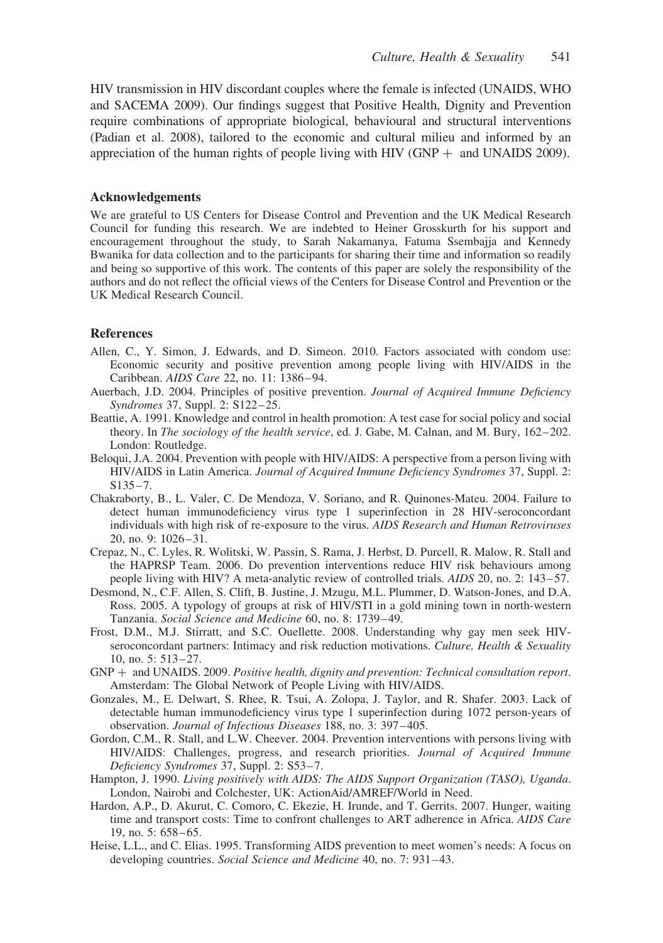HIV transmission in HIV discordant couples where the female is infected (UNAIDS, WHO and SACEMA 2009). Our findings suggest that Positive Health, Dignity and Prevention require combinations of appropriate biological, behavioural and structural interventions (Padian et al. 2008), tailored to the economic and cultural milieu and informed by an appreciation of the human rights of people living with HIV (GNP  $+$  and UNAIDS 2009).

### Acknowledgements

We are grateful to US Centers for Disease Control and Prevention and the UK Medical Research Council for funding this research. We are indebted to Heiner Grosskurth for his support and encouragement throughout the study, to Sarah Nakamanya, Fatuma Ssembajja and Kennedy Bwanika for data collection and to the participants for sharing their time and information so readily and being so supportive of this work. The contents of this paper are solely the responsibility of the authors and do not reflect the official views of the Centers for Disease Control and Prevention or the UK Medical Research Council.

### **References**

- Allen, C., Y. Simon, J. Edwards, and D. Simeon. 2010. Factors associated with condom use: Economic security and positive prevention among people living with HIV/AIDS in the Caribbean. AIDS Care 22, no. 11: 1386– 94.
- Auerbach, J.D. 2004. Principles of positive prevention. *Journal of Acquired Immune Deficiency* Syndromes 37, Suppl. 2: S122-25.
- Beattie, A. 1991. Knowledge and control in health promotion: A test case for social policy and social theory. In The sociology of the health service, ed. J. Gabe, M. Calnan, and M. Bury, 162–202. London: Routledge.
- Beloqui, J.A. 2004. Prevention with people with HIV/AIDS: A perspective from a person living with HIV/AIDS in Latin America. Journal of Acquired Immune Deficiency Syndromes 37, Suppl. 2:  $S135 - 7.$
- Chakraborty, B., L. Valer, C. De Mendoza, V. Soriano, and R. Quinones-Mateu. 2004. Failure to detect human immunodeficiency virus type 1 superinfection in 28 HIV-seroconcordant individuals with high risk of re-exposure to the virus. AIDS Research and Human Retroviruses 20, no. 9: 1026– 31.
- Crepaz, N., C. Lyles, R. Wolitski, W. Passin, S. Rama, J. Herbst, D. Purcell, R. Malow, R. Stall and the HAPRSP Team. 2006. Do prevention interventions reduce HIV risk behaviours among people living with HIV? A meta-analytic review of controlled trials. AIDS 20, no. 2: 143– 57.
- Desmond, N., C.F. Allen, S. Clift, B. Justine, J. Mzugu, M.L. Plummer, D. Watson-Jones, and D.A. Ross. 2005. A typology of groups at risk of HIV/STI in a gold mining town in north-western Tanzania. Social Science and Medicine 60, no. 8: 1739–49.
- Frost, D.M., M.J. Stirratt, and S.C. Ouellette. 2008. Understanding why gay men seek HIVseroconcordant partners: Intimacy and risk reduction motivations. Culture, Health & Sexuality 10, no. 5: 513-27.
- GNP + and UNAIDS. 2009. Positive health, dignity and prevention: Technical consultation report. Amsterdam: The Global Network of People Living with HIV/AIDS.
- Gonzales, M., E. Delwart, S. Rhee, R. Tsui, A. Zolopa, J. Taylor, and R. Shafer. 2003. Lack of detectable human immunodeficiency virus type 1 superinfection during 1072 person-years of observation. Journal of Infectious Diseases 188, no. 3: 397-405.
- Gordon, C.M., R. Stall, and L.W. Cheever. 2004. Prevention interventions with persons living with HIV/AIDS: Challenges, progress, and research priorities. Journal of Acquired Immune Deficiency Syndromes 37, Suppl. 2: S53-7.
- Hampton, J. 1990. Living positively with AIDS: The AIDS Support Organization (TASO), Uganda. London, Nairobi and Colchester, UK: ActionAid/AMREF/World in Need.
- Hardon, A.P., D. Akurut, C. Comoro, C. Ekezie, H. Irunde, and T. Gerrits. 2007. Hunger, waiting time and transport costs: Time to confront challenges to ART adherence in Africa. AIDS Care 19, no. 5: 658-65.
- Heise, L.L., and C. Elias. 1995. Transforming AIDS prevention to meet women's needs: A focus on developing countries. Social Science and Medicine 40, no. 7: 931-43.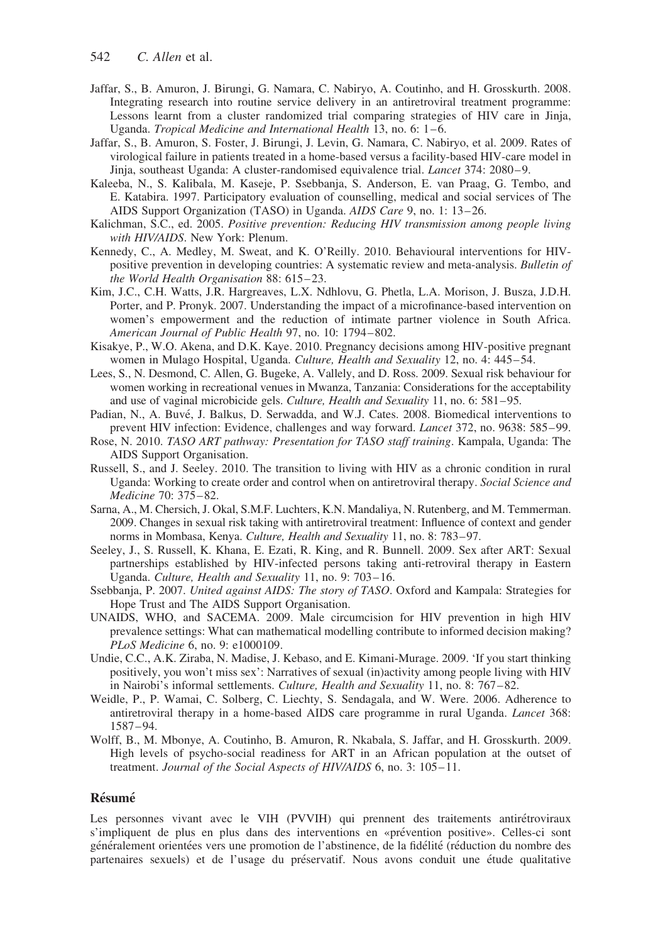- Jaffar, S., B. Amuron, J. Birungi, G. Namara, C. Nabiryo, A. Coutinho, and H. Grosskurth. 2008. Integrating research into routine service delivery in an antiretroviral treatment programme: Lessons learnt from a cluster randomized trial comparing strategies of HIV care in Jinja, Uganda. Tropical Medicine and International Health 13, no. 6: 1–6.
- Jaffar, S., B. Amuron, S. Foster, J. Birungi, J. Levin, G. Namara, C. Nabiryo, et al. 2009. Rates of virological failure in patients treated in a home-based versus a facility-based HIV-care model in Jinja, southeast Uganda: A cluster-randomised equivalence trial. Lancet 374: 2080-9.
- Kaleeba, N., S. Kalibala, M. Kaseje, P. Ssebbanja, S. Anderson, E. van Praag, G. Tembo, and E. Katabira. 1997. Participatory evaluation of counselling, medical and social services of The AIDS Support Organization (TASO) in Uganda. AIDS Care 9, no. 1: 13– 26.
- Kalichman, S.C., ed. 2005. Positive prevention: Reducing HIV transmission among people living with HIV/AIDS. New York: Plenum.
- Kennedy, C., A. Medley, M. Sweat, and K. O'Reilly. 2010. Behavioural interventions for HIVpositive prevention in developing countries: A systematic review and meta-analysis. Bulletin of the World Health Organisation 88: 615-23.
- Kim, J.C., C.H. Watts, J.R. Hargreaves, L.X. Ndhlovu, G. Phetla, L.A. Morison, J. Busza, J.D.H. Porter, and P. Pronyk. 2007. Understanding the impact of a microfinance-based intervention on women's empowerment and the reduction of intimate partner violence in South Africa. American Journal of Public Health 97, no. 10: 1794-802.
- Kisakye, P., W.O. Akena, and D.K. Kaye. 2010. Pregnancy decisions among HIV-positive pregnant women in Mulago Hospital, Uganda. Culture, Health and Sexuality 12, no. 4: 445–54.
- Lees, S., N. Desmond, C. Allen, G. Bugeke, A. Vallely, and D. Ross. 2009. Sexual risk behaviour for women working in recreational venues in Mwanza, Tanzania: Considerations for the acceptability and use of vaginal microbicide gels. Culture, Health and Sexuality 11, no. 6: 581–95.
- Padian, N., A. Buvé, J. Balkus, D. Serwadda, and W.J. Cates. 2008. Biomedical interventions to prevent HIV infection: Evidence, challenges and way forward. Lancet 372, no. 9638: 585–99.
- Rose, N. 2010. TASO ART pathway: Presentation for TASO staff training. Kampala, Uganda: The AIDS Support Organisation.
- Russell, S., and J. Seeley. 2010. The transition to living with HIV as a chronic condition in rural Uganda: Working to create order and control when on antiretroviral therapy. Social Science and Medicine 70: 375– 82.
- Sarna, A., M. Chersich, J. Okal, S.M.F. Luchters, K.N. Mandaliya, N. Rutenberg, and M. Temmerman. 2009. Changes in sexual risk taking with antiretroviral treatment: Influence of context and gender norms in Mombasa, Kenya. Culture, Health and Sexuality 11, no. 8: 783–97.
- Seeley, J., S. Russell, K. Khana, E. Ezati, R. King, and R. Bunnell. 2009. Sex after ART: Sexual partnerships established by HIV-infected persons taking anti-retroviral therapy in Eastern Uganda. Culture, Health and Sexuality 11, no. 9: 703– 16.
- Ssebbanja, P. 2007. United against AIDS: The story of TASO. Oxford and Kampala: Strategies for Hope Trust and The AIDS Support Organisation.
- UNAIDS, WHO, and SACEMA. 2009. Male circumcision for HIV prevention in high HIV prevalence settings: What can mathematical modelling contribute to informed decision making? PLoS Medicine 6, no. 9: e1000109.
- Undie, C.C., A.K. Ziraba, N. Madise, J. Kebaso, and E. Kimani-Murage. 2009. 'If you start thinking positively, you won't miss sex': Narratives of sexual (in)activity among people living with HIV in Nairobi's informal settlements. Culture, Health and Sexuality 11, no. 8: 767-82.
- Weidle, P., P. Wamai, C. Solberg, C. Liechty, S. Sendagala, and W. Were. 2006. Adherence to antiretroviral therapy in a home-based AIDS care programme in rural Uganda. *Lancet* 368: 1587– 94.
- Wolff, B., M. Mbonye, A. Coutinho, B. Amuron, R. Nkabala, S. Jaffar, and H. Grosskurth. 2009. High levels of psycho-social readiness for ART in an African population at the outset of treatment. Journal of the Social Aspects of HIV/AIDS 6, no. 3: 105-11.

#### **Résumé**

Les personnes vivant avec le VIH (PVVIH) qui prennent des traitements antirétroviraux s'impliquent de plus en plus dans des interventions en «prévention positive». Celles-ci sont généralement orientées vers une promotion de l'abstinence, de la fidélité (réduction du nombre des partenaires sexuels) et de l'usage du préservatif. Nous avons conduit une étude qualitative